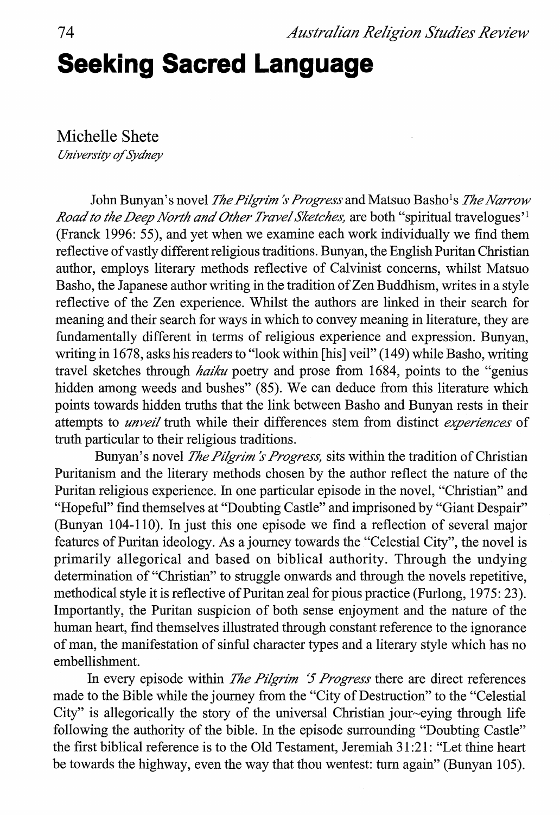## **Seeking Sacred Language**

Michelle Shete

*University of Sydney* 

John Bunyan's novel *The Pilgrim's Progress* and Matsuo Basho<sup>1</sup>s *The Narrow Road to the Deep North and Other Travel Sketches, are both "spiritual travelogues'<sup>1</sup>* (Franck 1996: 55), and yet when we examine each work individually we find them reflective of vastly different religious traditions. Bunyan, the English Puritan Christian author, employs literary methods reflective of Calvinist concerns, whilst Matsuo Basho, the Japanese author writing in the tradition of Zen Buddhism, writes in a style reflective of the Zen experience. Whilst the authors are linked in their search for meaning and their search for ways in which to convey meaning in literature, they are fundamentally different in terms of religious experience and expression. Bunyan, writing in 1678, asks his readers to "look within [his] veil" (149) while Basho, writing travel sketches through *haiku* poetry and prose from 1684, points to the "genius hidden among weeds and bushes" (85). We can deduce from this literature which points towards hidden truths that the link between Basho and Bunyan rests in their attempts to *unveil* truth while their differences stem from distinct *experiences* of truth particular to their religious traditions.

Bunyan's novel *The Pilgrim's Progress*, sits within the tradition of Christian Puritanism and the literary methods chosen by the author reflect the nature of the Puritan religious experience. In one particular episode in the novel, "Christian" and "Hopeful" find themselves at "Doubting Castle" and imprisoned by "Giant Despair" (Bunyan 104-110). In just this one episode we find a reflection of several major features of Puritan ideology. As a journey towards the "Celestial City", the novel is primarily allegorical and based on biblical authority. Through the undying determination of "Christian" to struggle onwards and through the novels repetitive, methodical style it is reflective of Puritan zeal for pious practice (Furlong, 1975: 23). Importantly, the Puritan suspicion of both sense enjoyment and the nature of the human heart, find themselves illustrated through constant reference to the ignorance of man, the manifestation of sinful character types and a literary style which has no embellishment.

In every episode within *The Pilgrim '5 Progress* there are direct references made to the Bible while the journey from the "City of Destruction" to the "Celestial City" is allegorically the story of the universal Christian jour~eying through life following the authority of the bible. In the episode surrounding "Doubting Castle" the first biblical reference is to the Old Testament, Jeremiah 31 :21: "Let thine heart be towards the highway, even the way that thou wentest: turn again" (Bunyan 105).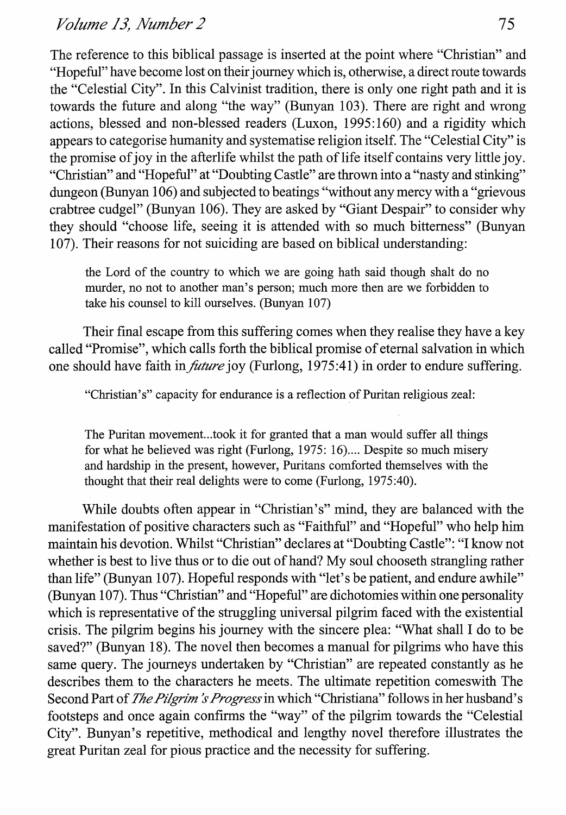The reference to this biblical passage is inserted at the point where "Christian" and "Hopeful" have become lost on their journey which is, otherwise, a direct route towards the "Celestial City". In this Calvinist tradition, there is only one right path and it is towards the future and along "the way" (Bunyan 103). There are right and wrong actions, blessed and non-blessed readers (Luxon, 1995:160) and a rigidity which appears to categorise humanity and systematise religion itself. The "Celestial City" is the promise of joy in the afterlife whilst the path of life itself contains very little joy. "Christian" and "Hopeful" at "Doubting Castle" are thrown into a "nasty and stinking" dungeon (Bunyan 106) and subjected to beatings "without any mercy with a "grievous" crabtree cudgel" (Bunyan 106). They are asked by "Giant Despair" to consider why they should "choose life, seeing it is attended with so much bitterness" (Bunyan 107). Their reasons for not suiciding are based on biblical understanding:

the Lord of the country to which we are going hath said though shalt do no murder, no not to another man's person; much more then are we forbidden to take his counsel to kill ourselves. (Bunyan 107)

Their final escape from this suffering comes when they realise they have a key called "Promise", which calls forth the biblical promise of eternal salvation in which one should have faith in *future* joy (Furlong, 1975:41) in order to endure suffering.

"Christian's" capacity for endurance is a reflection of Puritan religious zeal:

The Puritan movement... took it for granted that a man would suffer all things for what he believed was right (Furlong, 1975: 16) .... Despite so much misery and hardship in the present, however, Puritans comforted themselves with the thought that their real delights were to come (Furlong, 1975:40).

While doubts often appear in "Christian's" mind, they are balanced with the manifestation of positive characters such as "Faithful" and "Hopeful" who help him maintain his devotion. Whilst "Christian" declares at "Doubting Castle": "I know not whether is best to live thus or to die out of hand? My soul chooseth strangling rather than life" (Bunyan 107). Hopeful responds with "let's be patient, and endure awhile" (Bunyan 107). Thus "Christian" and "Hopeful" are dichotomies within one personality which is representative of the struggling universal pilgrim faced with the existential crisis. The pilgrim begins his journey with the sincere plea: "What shall I do to be saved?" (Bunyan 18). The novel then becomes a manual for pilgrims who have this same query. The journeys undertaken by "Christian" are repeated constantly as he describes them to the characters he meets. The ultimate repetition comeswith The Second Part of *The Pilgrim's Progress* in which "Christiana" follows in her husband's footsteps and once again confirms the "way" of the pilgrim towards the "Celestial City". Bunyan's repetitive, methodical and lengthy novel therefore illustrates the great Puritan zeal for pious practice and the necessity for suffering.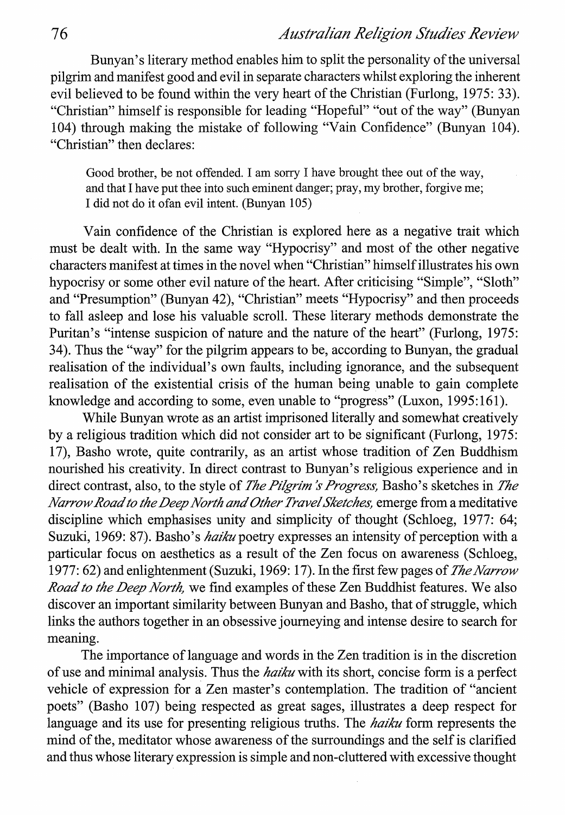## 76 *Australian Religion Studies Review*

Bunyan's literary method enables him to split the personality of the universal pilgrim and manifest good and evil in separate characters whilst exploring the inherent evil believed to be found within the very heart of the Christian (Furlong, 1975: 33). "Christian" himself is responsible for leading "Hopeful" "out of the way" (Bunyan 104) through making the mistake of following "Vain Confidence" (Bunyan 104). "Christian" then declares:

Good brother, be not offended. I am sorry I have brought thee out of the way, and that I have put thee into such eminent danger; pray, my brother, forgive me; I did not do it ofan evil intent. (Bunyan 105)

Vain confidence of the Christian is explored here as a negative trait which must be dealt with. In the same way "Hypocrisy" and most of the other negative characters manifest at times in the novel when "Christian" himself illustrates his own hypocrisy or some other evil nature of the heart. After criticising "Simple", "Sloth" and "Presumption" (Bunyan 42), "Christian" meets "Hypocrisy" and then proceeds to fall asleep and lose his valuable scroll. These literary methods demonstrate the Puritan's "intense suspicion of nature and the nature of the heart" (Furlong, 1975: 34). Thus the "way" for the pilgrim appears to be, according to Bunyan, the gradual realisation of the individual's own faults, including ignorance, and the subsequent realisation of the existential crisis of the human being unable to gain complete knowledge and according to some, even unable to "progress" (Luxon, 1995:161).

While Bunyan wrote as an artist imprisoned literally and somewhat creatively by a religious tradition which did not consider art to be significant (Furlong, 1975: 17), Basho wrote, quite contrarily, as an artist whose tradition of Zen Buddhism nourished his creativity. In direct contrast to Bunyan's religious experience and in direct contrast, also, to the style of *The Pilgrim's Progress*, Basho's sketches in *The Narrow Road to the Deep North and Other Travel Sketches,* emerge from a meditative discipline which emphasises unity and simplicity of thought (Schloeg, 1977: 64; Suzuki, 1969: 87). Basho's *haiku* poetry expresses an intensity of perception with a particular focus on aesthetics as a result of the Zen focus on awareness (Schloeg, 1977: 62) and enlightenment (Suzuki, 1969: 17). In the first few pages of *The Narrow Road to the Deep North,* we find examples of these Zen Buddhist features. We also discover an important similarity between Bunyan and Basho, that of struggle, which links the authors together in an obsessive journeying and intense desire to search for meaning.

The importance of language and words in the Zen tradition is in the discretion of use and minimal analysis. Thus the *haiku* with its short, concise form is a perfect vehicle of expression for a Zen master's contemplation. The tradition of "ancient poets" (Basho 107) being respected as great sages, illustrates a deep respect for language and its use for presenting religious truths. The *haiku* form represents the mind of the, meditator whose awareness of the surroundings and the self is clarified and thus whose literary expression is simple and non-cluttered with excessive thought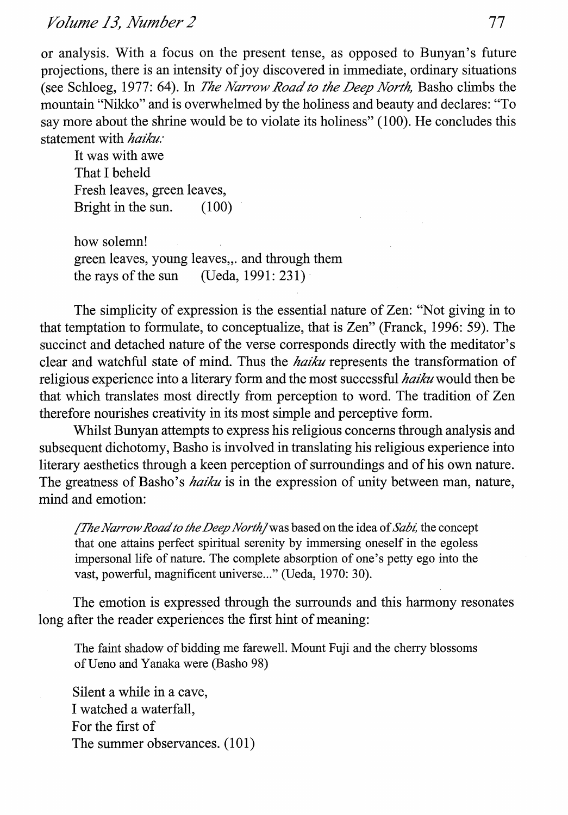*Volume 13, Number 2* 77

or analysis. With a focus on the present tense, as opposed to Bunyan's future projections, there is an intensity of joy discovered in immediate, ordinary situations (see Schloeg, 1977: 64). In *The Narrow Road to the Deep North,* Basho climbs the mountain "Nikko" and is overwhelmed by the holiness and beauty and declares: "To say more about the shrine would be to violate its holiness" (100). He concludes this statement with *haiku:* 

It was with awe That I beheld Fresh leaves, green leaves, Bright in the sun. (100)

how solemn! green leaves, young leaves,. and through them the rays of the sun (Ueda, 1991: 231)

The simplicity of expression is the essential nature of Zen: "Not giving in to that temptation to formulate, to conceptualize, that is Zen" (Franck, 1996: 59). The succinct and detached nature of the verse corresponds directly with the meditator's clear and watchful state of mind. Thus the *haiku* represents the transformation of religious experience into a literary form and the most successful *haiku* would then be that which translates most directly from perception to word. The tradition of Zen therefore nourishes creativity in its most simple and perceptive form.

Whilst Bunyan attempts to express his religious concerns through analysis and subsequent dichotomy, Basho is involved in translating his religious experience into literary aesthetics through a keen perception of surroundings and of his own nature. The greatness of Basho's *haiku* is in the expression of unity between man, nature, mind and emotion:

*[The Narrow Road to the Deep Northjwas* based on the idea of *Sabz;* the concept that one attains perfect spiritual serenity by immersing oneself in the egoless impersonal life of nature. The complete absorption of one's petty ego into the vast, powerful, magnificent universe..." (Ueda, 1970: 30).

The emotion is expressed through the surrounds and this harmony resonates long after the reader experiences the first hint of meaning:

The faint shadow of bidding me farewell. Mount Fuji and the cherry blossoms ofUeno and Yanaka were (Basho 98)

Silent a while in a cave, I watched a waterfall, For the first of The summer observances. (101)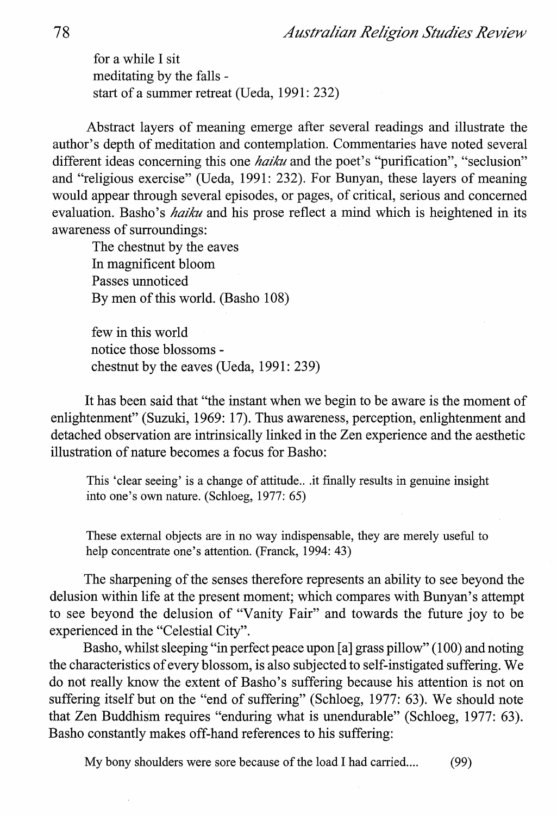*Australian Religion Studies Review* 

for a while I sit meditating by the falls start of a summer retreat (Ueda, 1991: 232)

Abstract layers of meaning emerge after several readings and illustrate the author's depth of meditation and contemplation. Commentaries have noted several different ideas concerning this one *haiku* and the poet's "purification", "seclusion" and "religious exercise" (Ueda, 1991: 232). For Bunyan, these layers of meaning would appear through several episodes, or pages, of critical, serious and concerned evaluation. Basho's *haiku* and his prose reflect a mind which is heightened in its awareness of surroundings:

The chestnut by the eaves In magnificent bloom Passes unnoticed By men of this world. (Basho 108)

few in this world notice those blossoms chestnut by the eaves (Ueda, 1991: 239)

It has been said that "the instant when we begin to be aware is the moment of enlightenment" (Suzuki, 1969: 17). Thus awareness, perception, enlightenment and detached observation are intrinsically linked in the Zen experience and the aesthetic illustration of nature becomes a focus for Basho:

This 'clear seeing' is a change of attitude... it finally results in genuine insight into one's own nature. (Schloeg, 1977: 65)

These external objects are in no way indispensable, they are merely useful to help concentrate one's attention. (Franck, 1994: 43)

The sharpening of the senses therefore represents an ability to see beyond the delusion within life at the present moment; which compares with Bunyan's attempt to see beyond the delusion of "Vanity Fair" and towards the future joy to be experienced in the "Celestial City".

Basho, whilst sleeping "in perfect peace upon [a] grass pillow" (100) and noting the characteristics of every blossom, is also subjected to self-instigated suffering. We do not really know the extent of Basho's suffering because his attention is not on suffering itself but on the "end of suffering" (Schloeg, 1977: 63). We should note that Zen Buddhism requires "enduring what is unendurable" (Schloeg, 1977: 63). Basho constantly makes off-hand references to his suffering:

My bony shoulders were sore because of the load I had carried.... (99)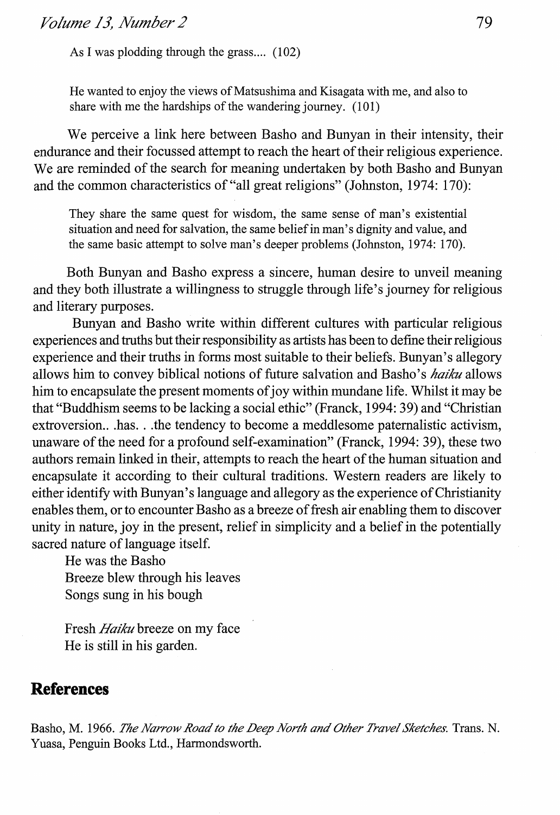As I was plodding through the grass....  $(102)$ 

He wanted to enjoy the views of Matsushima and Kisagata with me, and also to share with me the hardships of the wandering journey. (101)

We perceive a link here between Basho and Bunyan in their intensity, their endurance and their focussed attempt to reach the heart of their religious experience. We are reminded of the search for meaning undertaken by both Basho and Bunyan and the common characteristics of "all great religions" (Johnston, 1974: 170):

They share the same quest for wisdom, the same sense of man's existential situation and need for salvation, the same belief in man's dignity and value, and the same basic attempt to solve man's deeper problems (Johnston, 1974: 170).

Both Bunyan and Basho express a sincere, human desire to unveil meaning and they both illustrate a willingness to struggle through life's journey for religious and literary purposes.

Bunyan and Basho write within different cultures with particular religious experiences and truths but their responsibility as artists has been to define their religious experience and their truths in forms most suitable to their beliefs. Bunyan's allegory allows him to convey biblical notions of future salvation and Basho 's *haiku* allows him to encapsulate the present moments of joy within mundane life. Whilst it may be that "Buddhism seems to be lacking a social ethic" (Franck, 1994: 39) and "Christian extroversion... has ... the tendency to become a meddlesome paternalistic activism, unaware of the need for a profound self-examination" (Franck, 1994: 39), these two authors remain linked in their, attempts to reach the heart of the human situation and encapsulate it according to their cultural traditions. Western readers are likely to either identity with Bunyan's language and allegory as the experience of Christianity enables them, or to encounter Basho as a breeze of fresh air enabling them to discover unity in nature, joy in the present, relief in simplicity and a belief in the potentially sacred nature of language itself.

He was the Basho Breeze blew through his leaves Songs sung in his bough

Fresh *Haiku* breeze on my face He is still in his garden.

## **References**

Basho, M. 1966. *The Narrow Road to the Deep North and Other Travel Sketches.* Trans. N. Yuasa, Penguin Books Ltd., Harmondsworth.